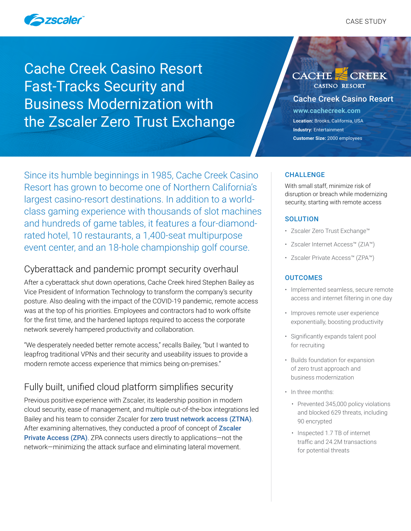

# Cache Creek Casino Resort Fast-Tracks Security and Business Modernization with the Zscaler Zero Trust Exchange

# CASINO RESORT

#### Cache Creek Casino Resort

**[www.cachecreek.com](https://www.cachecreek.com/) Location:** Brooks, California, USA **Industry:** Entertainment **Customer Size:** 2000 employees

Since its humble beginnings in 1985, Cache Creek Casino Resort has grown to become one of Northern California's largest casino-resort destinations. In addition to a worldclass gaming experience with thousands of slot machines and hundreds of game tables, it features a four-diamondrated hotel, 10 restaurants, a 1,400-seat multipurpose event center, and an 18-hole championship golf course.

# Cyberattack and pandemic prompt security overhaul

After a cyberattack shut down operations, Cache Creek hired Stephen Bailey as Vice President of Information Technology to transform the company's security posture. Also dealing with the impact of the COVID-19 pandemic, remote access was at the top of his priorities. Employees and contractors had to work offsite for the first time, and the hardened laptops required to access the corporate network severely hampered productivity and collaboration.

"We desperately needed better remote access," recalls Bailey, "but I wanted to leapfrog traditional VPNs and their security and useability issues to provide a modern remote access experience that mimics being on-premises."

# Fully built, unified cloud platform simplifies security

Previous positive experience with Zscaler, its leadership position in modern cloud security, ease of management, and multiple out-of-the-box integrations led Bailey and his team to consider Zscaler for [zero trust network access \(ZTNA\)](https://www.zscaler.com/resources/security-terms-glossary/what-is-zero-trust-network-access). After examining alternatives, they conducted a proof of concept of **Zscaler** [Private Access \(ZPA\)](https://www.zscaler.com/products/zscaler-private-access). ZPA connects users directly to applications—not the network—minimizing the attack surface and eliminating lateral movement.

#### **CHALLENGE**

With small staff, minimize risk of disruption or breach while modernizing security, starting with remote access

#### **SOLUTION**

- Zscaler Zero Trust Exchange™
- Zscaler Internet Access™ (ZIA™)
- Zscaler Private Access™ (ZPA™)

#### **OUTCOMES**

- Implemented seamless, secure remote access and internet filtering in one day
- Improves remote user experience exponentially, boosting productivity
- Significantly expands talent pool for recruiting
- Builds foundation for expansion of zero trust approach and business modernization
- In three months:
	- Prevented 345,000 policy violations and blocked 629 threats, including 90 encrypted
	- Inspected 1.7 TB of internet traffic and 24.2M transactions for potential threats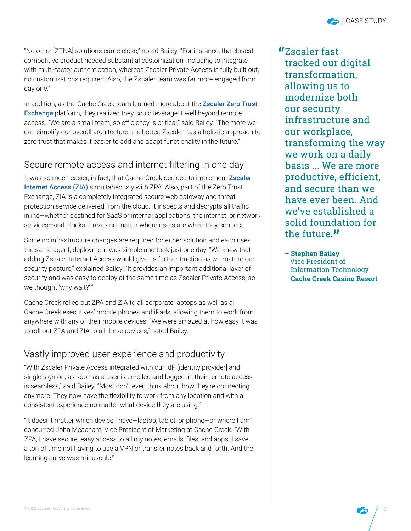"No other [ZTNA] solutions came close," noted Bailey. "For instance, the closest competitive product needed substantial customization, including to integrate with multi-factor authentication, whereas Zscaler Private Access is fully built out, no customizations required. Also, the Zscaler team was far more engaged from day one."

In addition, as the Cache Creek team learned more about the Zscaler Zero Trust [Exchange](https://www.zscaler.com/platform/zero-trust-exchange) platform, they realized they could leverage it well beyond remote access. "We are a small team, so efficiency is critical," said Bailey. "The more we can simplify our overall architecture, the better. Zscaler has a holistic approach to zero trust that makes it easier to add and adapt functionality in the future."

### Secure remote access and internet filtering in one day

It was so much easier, in fact, that Cache Creek decided to implement Zscaler [Internet Access \(ZIA\)](https://www.zscaler.com/products/zscaler-internet-access) simultaneously with ZPA. Also, part of the Zero Trust Exchange, ZIA is a completely integrated secure web gateway and threat protection service delivered from the cloud. It inspects and decrypts all traffic inline—whether destined for SaaS or internal applications, the internet, or network services—and blocks threats no matter where users are when they connect.

Since no infrastructure changes are required for either solution and each uses the same agent, deployment was simple and took just one day. "We knew that adding Zscaler Internet Access would give us further traction as we mature our security posture," explained Bailey. "It provides an important additional layer of security and was easy to deploy at the same time as Zscaler Private Access, so we thought 'why wait?'."

Cache Creek rolled out ZPA and ZIA to all corporate laptops as well as all Cache Creek executives' mobile phones and iPads, allowing them to work from anywhere with any of their mobile devices. "We were amazed at how easy it was to roll out ZPA and ZIA to all these devices," noted Bailey.

# Vastly improved user experience and productivity

"With Zscaler Private Access integrated with our IdP [identity provider] and single sign-on, as soon as a user is enrolled and logged in, their remote access is seamless," said Bailey. "Most don't even think about how they're connecting anymore. They now have the flexibility to work from any location and with a consistent experience no matter what device they are using."

"It doesn't matter which device I have—laptop, tablet, or phone—or where I am," concurred John Meacham, Vice President of Marketing at Cache Creek. "With ZPA, I have secure, easy access to all my notes, emails, files, and apps. I save a ton of time not having to use a VPN or transfer notes back and forth. And the learning curve was minuscule."

"Zscaler fasttracked our digital transformation, allowing us to modernize both our security infrastructure and our workplace, transforming the way we work on a daily basis ... We are more productive, efficient, and secure than we have ever been. And we've established a solid foundation for the future  $\boldsymbol{v}$ 

**– Stephen Bailey** Vice President of Information Technology **Cache Creek Casino Resort**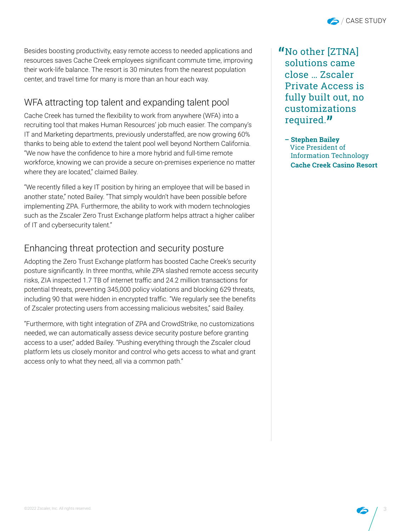Besides boosting productivity, easy remote access to needed applications and resources saves Cache Creek employees significant commute time, improving their work-life balance. The resort is 30 minutes from the nearest population center, and travel time for many is more than an hour each way.

# WFA attracting top talent and expanding talent pool

Cache Creek has turned the flexibility to work from anywhere (WFA) into a recruiting tool that makes Human Resources' job much easier. The company's IT and Marketing departments, previously understaffed, are now growing 60% thanks to being able to extend the talent pool well beyond Northern California. "We now have the confidence to hire a more hybrid and full-time remote workforce, knowing we can provide a secure on-premises experience no matter where they are located," claimed Bailey.

"We recently filled a key IT position by hiring an employee that will be based in another state," noted Bailey. "That simply wouldn't have been possible before implementing ZPA. Furthermore, the ability to work with modern technologies such as the Zscaler Zero Trust Exchange platform helps attract a higher caliber of IT and cybersecurity talent."

# Enhancing threat protection and security posture

Adopting the Zero Trust Exchange platform has boosted Cache Creek's security posture significantly. In three months, while ZPA slashed remote access security risks, ZIA inspected 1.7 TB of internet traffic and 24.2 million transactions for potential threats, preventing 345,000 policy violations and blocking 629 threats, including 90 that were hidden in encrypted traffic. "We regularly see the benefits of Zscaler protecting users from accessing malicious websites," said Bailey.

"Furthermore, with tight integration of ZPA and CrowdStrike, no customizations needed, we can automatically assess device security posture before granting access to a user," added Bailey. "Pushing everything through the Zscaler cloud platform lets us closely monitor and control who gets access to what and grant access only to what they need, all via a common path."

"No other [ZTNA] solutions came close … Zscaler Private Access is fully built out, no customizations required."

**– Stephen Bailey** Vice President of Information Technology **Cache Creek Casino Resort**